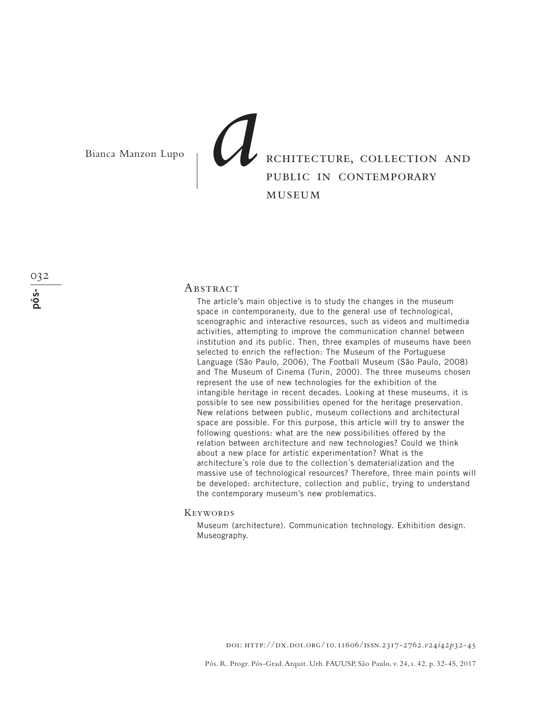# rchitecture, collection and public in contemporary museum Bianca Manzon Lupo **a**<br>**a**

#### **ABSTRACT**

The article's main objective is to study the changes in the museum space in contemporaneity, due to the general use of technological, scenographic and interactive resources, such as videos and multimedia activities, attempting to improve the communication channel between institution and its public. Then, three examples of museums have been selected to enrich the reflection: The Museum of the Portuguese Language (São Paulo, 2006), The Football Museum (São Paulo, 2008) and The Museum of Cinema (Turin, 2000). The three museums chosen represent the use of new technologies for the exhibition of the intangible heritage in recent decades. Looking at these museums, it is possible to see new possibilities opened for the heritage preservation. New relations between public, museum collections and architectural space are possible. For this purpose, this article will try to answer the following questions: what are the new possibilities offered by the relation between architecture and new technologies? Could we think about a new place for artistic experimentation? What is the architecture´s role due to the collection´s dematerialization and the massive use of technological resources? Therefore, three main points will be developed: architecture, collection and public, trying to understand the contemporary museum's new problematics.

#### **KEYWORDS**

Museum (architecture). Communication technology. Exhibition design. Museography.

doi: http://dx.doi.org/10.11606/issn.2317-2762.*v*24*i*42*p*32-45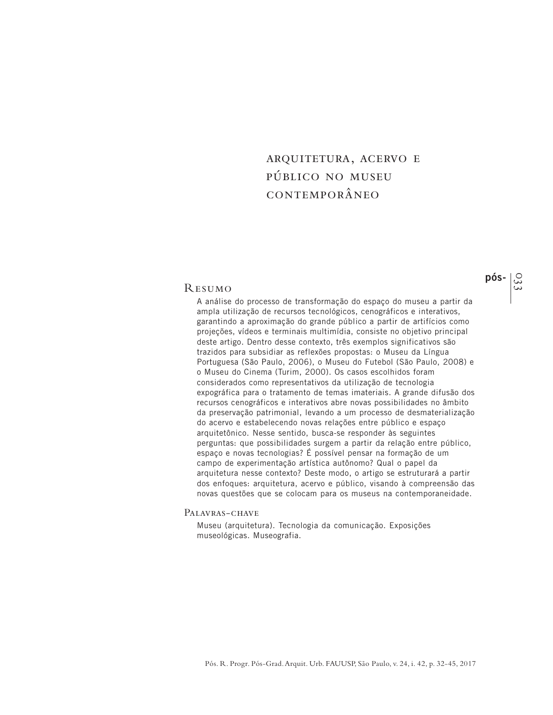# arquitetura, acervo e público no museu contemporâneo

### Resumo

A análise do processo de transformação do espaço do museu a partir da ampla utilização de recursos tecnológicos, cenográficos e interativos, garantindo a aproximação do grande público a partir de artifícios como projeções, vídeos e terminais multimídia, consiste no objetivo principal deste artigo. Dentro desse contexto, três exemplos significativos são trazidos para subsidiar as reflexões propostas: o Museu da Língua Portuguesa (São Paulo, 2006), o Museu do Futebol (São Paulo, 2008) e o Museu do Cinema (Turim, 2000). Os casos escolhidos foram considerados como representativos da utilização de tecnologia expográfica para o tratamento de temas imateriais. A grande difusão dos recursos cenográficos e interativos abre novas possibilidades no âmbito da preservação patrimonial, levando a um processo de desmaterialização do acervo e estabelecendo novas relações entre público e espaço arquitetônico. Nesse sentido, busca-se responder às seguintes perguntas: que possibilidades surgem a partir da relação entre público, espaço e novas tecnologias? É possível pensar na formação de um campo de experimentação artística autônomo? Qual o papel da arquitetura nesse contexto? Deste modo, o artigo se estruturará a partir dos enfoques: arquitetura, acervo e público, visando à compreensão das novas questões que se colocam para os museus na contemporaneidade.

#### PALAVRAS-CHAVE

Museu (arquitetura). Tecnologia da comunicação. Exposições museológicas. Museografia.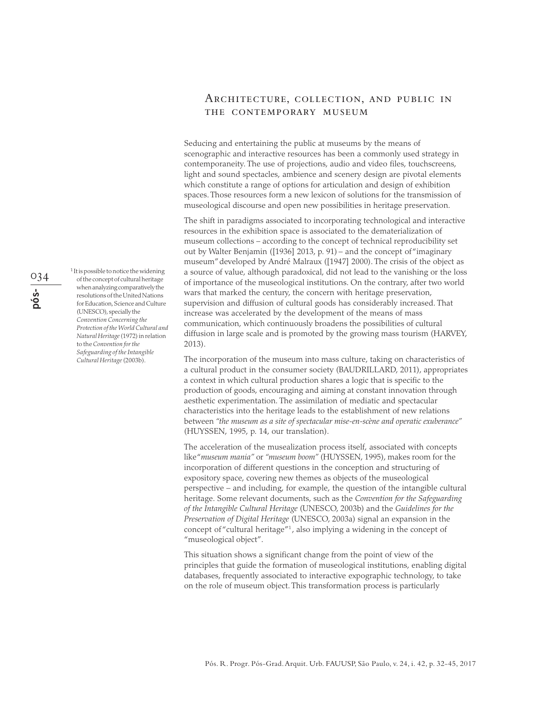# Architecture, collection, and public in the contemporary museum

Seducing and entertaining the public at museums by the means of scenographic and interactive resources has been a commonly used strategy in contemporaneity. The use of projections, audio and video files, touchscreens, light and sound spectacles, ambience and scenery design are pivotal elements which constitute a range of options for articulation and design of exhibition spaces. Those resources form a new lexicon of solutions for the transmission of museological discourse and open new possibilities in heritage preservation.

The shift in paradigms associated to incorporating technological and interactive resources in the exhibition space is associated to the dematerialization of museum collections – according to the concept of technical reproducibility set out by Walter Benjamin ([1936] 2013, p. 91) – and the concept of "imaginary museum" developed by André Malraux ([1947] 2000). The crisis of the object as a source of value, although paradoxical, did not lead to the vanishing or the loss of importance of the museological institutions. On the contrary, after two world wars that marked the century, the concern with heritage preservation, supervision and diffusion of cultural goods has considerably increased. That increase was accelerated by the development of the means of mass communication, which continuously broadens the possibilities of cultural diffusion in large scale and is promoted by the growing mass tourism (HARVEY, 2013).

The incorporation of the museum into mass culture, taking on characteristics of a cultural product in the consumer society (BAUDRILLARD, 2011), appropriates a context in which cultural production shares a logic that is specific to the production of goods, encouraging and aiming at constant innovation through aesthetic experimentation. The assimilation of mediatic and spectacular characteristics into the heritage leads to the establishment of new relations between *"the museum as a site of spectacular mise-en-scène and operatic exuberance"* (HUYSSEN, 1995, p. 14, our translation).

The acceleration of the musealization process itself, associated with concepts like "*museum mania"* or *"museum boom"* (HUYSSEN, 1995), makes room for the incorporation of different questions in the conception and structuring of expository space, covering new themes as objects of the museological perspective – and including, for example, the question of the intangible cultural heritage. Some relevant documents, such as the *Convention for the Safeguarding of the Intangible Cultural Heritage* (UNESCO, 2003b) and the *Guidelines for the Preservation of Digital Heritage* (UNESCO, 2003a) signal an expansion in the concept of "cultural heritage"<sup>1</sup>, also implying a widening in the concept of "museological object".

This situation shows a significant change from the point of view of the principles that guide the formation of museological institutions, enabling digital databases, frequently associated to interactive expographic technology, to take on the role of museum object. This transformation process is particularly

034**pós-** 1 It is possible to notice the widening of the concept of cultural heritage when analyzing comparatively the resolutions of the United Nations for Education, Science and Culture (UNESCO), specially the *Convention Concerning the Protection of the World Cultural and Natural Heritage* (1972) in relation to the *Convention for the Safeguarding of the Intangible Cultural Heritage* (2003b).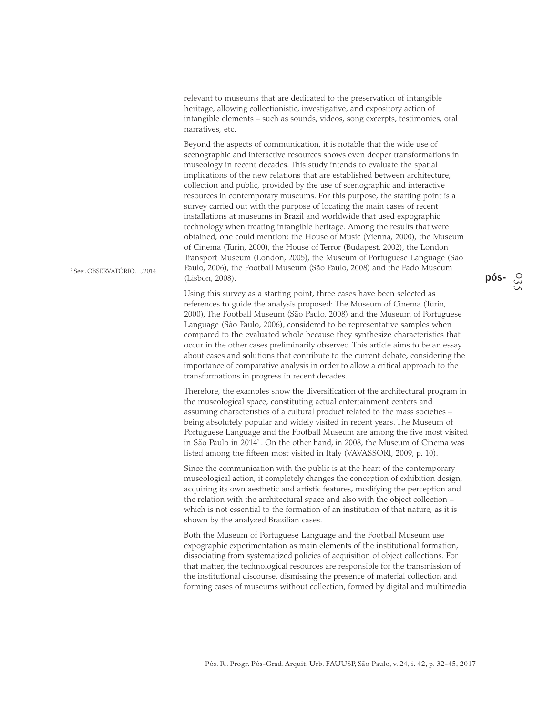relevant to museums that are dedicated to the preservation of intangible heritage, allowing collectionistic, investigative, and expository action of intangible elements – such as sounds, videos, song excerpts, testimonies, oral narratives, etc.

Beyond the aspects of communication, it is notable that the wide use of scenographic and interactive resources shows even deeper transformations in museology in recent decades. This study intends to evaluate the spatial implications of the new relations that are established between architecture, collection and public, provided by the use of scenographic and interactive resources in contemporary museums. For this purpose, the starting point is a survey carried out with the purpose of locating the main cases of recent installations at museums in Brazil and worldwide that used expographic technology when treating intangible heritage. Among the results that were obtained, one could mention: the House of Music (Vienna, 2000), the Museum of Cinema (Turin, 2000), the House of Terror (Budapest, 2002), the London Transport Museum (London, 2005), the Museum of Portuguese Language (São Paulo, 2006), the Football Museum (São Paulo, 2008) and the Fado Museum (Lisbon, 2008).

2 See:. OBSERVATÓRIO…, 2014.

Using this survey as a starting point, three cases have been selected as references to guide the analysis proposed: The Museum of Cinema (Turin, 2000), The Football Museum (São Paulo, 2008) and the Museum of Portuguese Language (São Paulo, 2006), considered to be representative samples when compared to the evaluated whole because they synthesize characteristics that occur in the other cases preliminarily observed. This article aims to be an essay about cases and solutions that contribute to the current debate, considering the importance of comparative analysis in order to allow a critical approach to the transformations in progress in recent decades.

Therefore, the examples show the diversification of the architectural program in the museological space, constituting actual entertainment centers and assuming characteristics of a cultural product related to the mass societies – being absolutely popular and widely visited in recent years. The Museum of Portuguese Language and the Football Museum are among the five most visited in São Paulo in 2014<sup>2</sup>. On the other hand, in 2008, the Museum of Cinema was listed among the fifteen most visited in Italy (VAVASSORI, 2009, p. 10).

Since the communication with the public is at the heart of the contemporary museological action, it completely changes the conception of exhibition design, acquiring its own aesthetic and artistic features, modifying the perception and the relation with the architectural space and also with the object collection – which is not essential to the formation of an institution of that nature, as it is shown by the analyzed Brazilian cases.

Both the Museum of Portuguese Language and the Football Museum use expographic experimentation as main elements of the institutional formation, dissociating from systematized policies of acquisition of object collections. For that matter, the technological resources are responsible for the transmission of the institutional discourse, dismissing the presence of material collection and forming cases of museums without collection, formed by digital and multimedia

035 **pós-**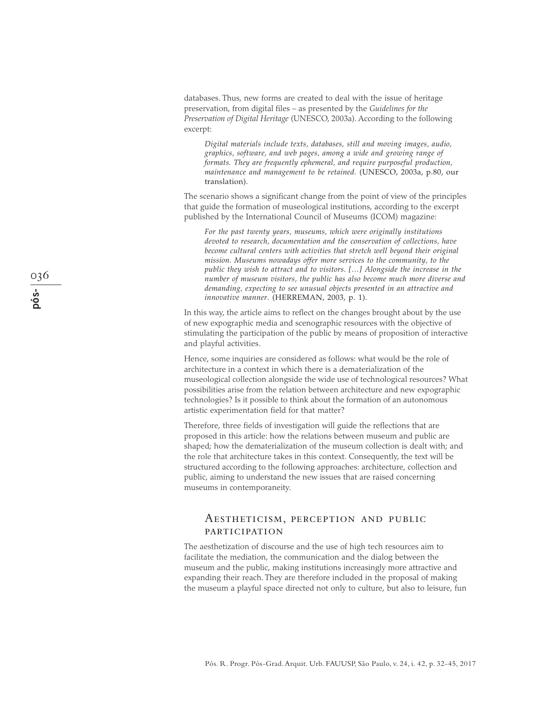databases. Thus, new forms are created to deal with the issue of heritage preservation, from digital files – as presented by the *Guidelines for the Preservation of Digital Heritage* (UNESCO, 2003a). According to the following excerpt:

*Digital materials include texts, databases, still and moving images, audio, graphics, software, and web pages, among a wide and growing range of formats. They are frequently ephemeral, and require purposeful production, maintenance and management to be retained.* (UNESCO, 2003a, p.80, our translation).

The scenario shows a significant change from the point of view of the principles that guide the formation of museological institutions, according to the excerpt published by the International Council of Museums (ICOM) magazine:

*For the past twenty years, museums, which were originally institutions devoted to research, documentation and the conservation of collections, have become cultural centers with activities that stretch well beyond their original mission. Museums nowadays offer more services to the community, to the public they wish to attract and to visitors. […] Alongside the increase in the number of museum visitors, the public has also become much more diverse and demanding, expecting to see unusual objects presented in an attractive and innovative manner.* (HERREMAN, 2003, p. 1).

In this way, the article aims to reflect on the changes brought about by the use of new expographic media and scenographic resources with the objective of stimulating the participation of the public by means of proposition of interactive and playful activities.

Hence, some inquiries are considered as follows: what would be the role of architecture in a context in which there is a dematerialization of the museological collection alongside the wide use of technological resources? What possibilities arise from the relation between architecture and new expographic technologies? Is it possible to think about the formation of an autonomous artistic experimentation field for that matter?

Therefore, three fields of investigation will guide the reflections that are proposed in this article: how the relations between museum and public are shaped; how the dematerialization of the museum collection is dealt with; and the role that architecture takes in this context. Consequently, the text will be structured according to the following approaches: architecture, collection and public, aiming to understand the new issues that are raised concerning museums in contemporaneity.

# Aestheticism, perception and public participation

The aesthetization of discourse and the use of high tech resources aim to facilitate the mediation, the communication and the dialog between the museum and the public, making institutions increasingly more attractive and expanding their reach. They are therefore included in the proposal of making the museum a playful space directed not only to culture, but also to leisure, fun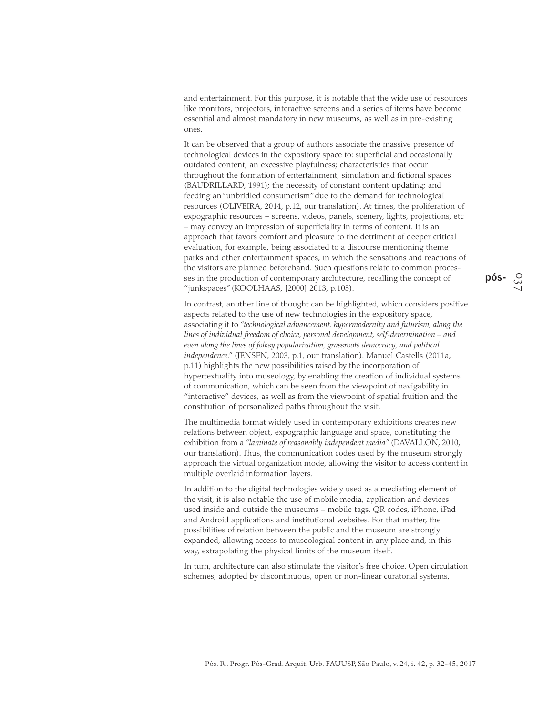and entertainment. For this purpose, it is notable that the wide use of resources like monitors, projectors, interactive screens and a series of items have become essential and almost mandatory in new museums, as well as in pre-existing ones.

It can be observed that a group of authors associate the massive presence of technological devices in the expository space to: superficial and occasionally outdated content; an excessive playfulness; characteristics that occur throughout the formation of entertainment, simulation and fictional spaces (BAUDRILLARD, 1991); the necessity of constant content updating; and feeding an "unbridled consumerism" due to the demand for technological resources (OLIVEIRA, 2014, p.12, our translation). At times, the proliferation of expographic resources – screens, videos, panels, scenery, lights, projections, etc – may convey an impression of superficiality in terms of content. It is an approach that favors comfort and pleasure to the detriment of deeper critical evaluation, for example, being associated to a discourse mentioning theme parks and other entertainment spaces, in which the sensations and reactions of the visitors are planned beforehand. Such questions relate to common processes in the production of contemporary architecture, recalling the concept of "junkspaces" (KOOLHAAS, [2000] 2013, p.105).

In contrast, another line of thought can be highlighted, which considers positive aspects related to the use of new technologies in the expository space, associating it to *"technological advancement, hypermodernity and futurism, along the lines of individual freedom of choice, personal development, self-determination – and even along the lines of folksy popularization, grassroots democracy, and political independence."* (JENSEN, 2003, p.1, our translation). Manuel Castells (2011a, p.11) highlights the new possibilities raised by the incorporation of hypertextuality into museology, by enabling the creation of individual systems of communication, which can be seen from the viewpoint of navigability in "interactive" devices, as well as from the viewpoint of spatial fruition and the constitution of personalized paths throughout the visit.

The multimedia format widely used in contemporary exhibitions creates new relations between object, expographic language and space, constituting the exhibition from a *"laminate of reasonably independent media"* (DAVALLON, 2010, our translation). Thus, the communication codes used by the museum strongly approach the virtual organization mode, allowing the visitor to access content in multiple overlaid information layers.

In addition to the digital technologies widely used as a mediating element of the visit, it is also notable the use of mobile media, application and devices used inside and outside the museums – mobile tags, QR codes, iPhone, iPad and Android applications and institutional websites. For that matter, the possibilities of relation between the public and the museum are strongly expanded, allowing access to museological content in any place and, in this way, extrapolating the physical limits of the museum itself.

In turn, architecture can also stimulate the visitor's free choice. Open circulation schemes, adopted by discontinuous, open or non-linear curatorial systems,

037 **pós-**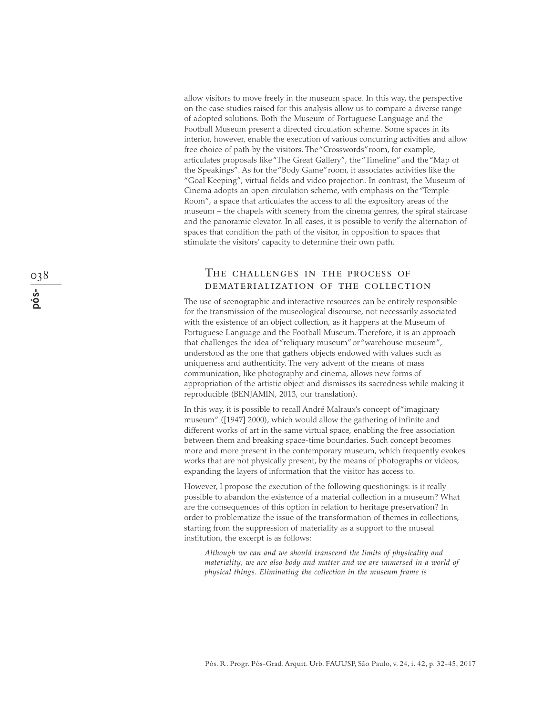allow visitors to move freely in the museum space. In this way, the perspective on the case studies raised for this analysis allow us to compare a diverse range of adopted solutions. Both the Museum of Portuguese Language and the Football Museum present a directed circulation scheme. Some spaces in its interior, however, enable the execution of various concurring activities and allow free choice of path by the visitors. The "Crosswords" room, for example, articulates proposals like "The Great Gallery", the "Timeline" and the "Map of the Speakings". As for the "Body Game" room, it associates activities like the "Goal Keeping", virtual fields and video projection. In contrast, the Museum of Cinema adopts an open circulation scheme, with emphasis on the "Temple Room", a space that articulates the access to all the expository areas of the museum – the chapels with scenery from the cinema genres, the spiral staircase and the panoramic elevator. In all cases, it is possible to verify the alternation of spaces that condition the path of the visitor, in opposition to spaces that stimulate the visitors' capacity to determine their own path.

## The challenges in the process of dematerialization of the collection

The use of scenographic and interactive resources can be entirely responsible for the transmission of the museological discourse, not necessarily associated with the existence of an object collection, as it happens at the Museum of Portuguese Language and the Football Museum. Therefore, it is an approach that challenges the idea of "reliquary museum" or "warehouse museum", understood as the one that gathers objects endowed with values such as uniqueness and authenticity. The very advent of the means of mass communication, like photography and cinema, allows new forms of appropriation of the artistic object and dismisses its sacredness while making it reproducible (BENJAMIN, 2013, our translation).

In this way, it is possible to recall André Malraux's concept of "imaginary museum" ([1947] 2000), which would allow the gathering of infinite and different works of art in the same virtual space, enabling the free association between them and breaking space-time boundaries. Such concept becomes more and more present in the contemporary museum, which frequently evokes works that are not physically present, by the means of photographs or videos, expanding the layers of information that the visitor has access to.

However, I propose the execution of the following questionings: is it really possible to abandon the existence of a material collection in a museum? What are the consequences of this option in relation to heritage preservation? In order to problematize the issue of the transformation of themes in collections, starting from the suppression of materiality as a support to the museal institution, the excerpt is as follows:

*Although we can and we should transcend the limits of physicality and materiality, we are also body and matter and we are immersed in a world of physical things. Eliminating the collection in the museum frame is*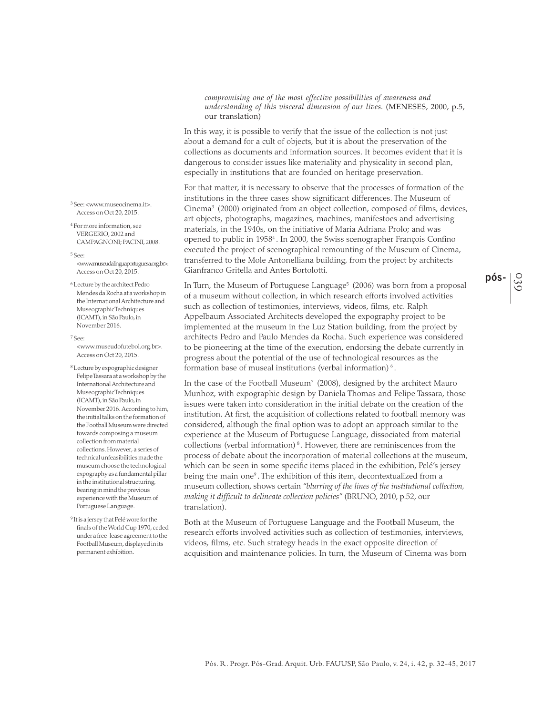*compromising one of the most effective possibilities of awareness and understanding of this visceral dimension of our lives.* (MENESES, 2000, p.5, our translation)

In this way, it is possible to verify that the issue of the collection is not just about a demand for a cult of objects, but it is about the preservation of the collections as documents and information sources. It becomes evident that it is dangerous to consider issues like materiality and physicality in second plan, especially in institutions that are founded on heritage preservation.

For that matter, it is necessary to observe that the processes of formation of the institutions in the three cases show significant differences. The Museum of Cinema3 (2000) originated from an object collection, composed of films, devices, art objects, photographs, magazines, machines, manifestoes and advertising materials, in the 1940s, on the initiative of Maria Adriana Prolo; and was opened to public in 19584 . In 2000, the Swiss scenographer François Confino executed the project of scenographical remounting of the Museum of Cinema, transferred to the Mole Antonelliana building, from the project by architects Gianfranco Gritella and Antes Bortolotti.

In Turn, the Museum of Portuguese Language<sup>5</sup> (2006) was born from a proposal of a museum without collection, in which research efforts involved activities such as collection of testimonies, interviews, videos, films, etc. Ralph Appelbaum Associated Architects developed the expography project to be implemented at the museum in the Luz Station building, from the project by architects Pedro and Paulo Mendes da Rocha. Such experience was considered to be pioneering at the time of the execution, endorsing the debate currently in progress about the potential of the use of technological resources as the formation base of museal institutions (verbal information)<sup>6</sup>.

In the case of the Football Museum<sup>7</sup> (2008), designed by the architect Mauro Munhoz, with expographic design by Daniela Thomas and Felipe Tassara, those issues were taken into consideration in the initial debate on the creation of the institution. At first, the acquisition of collections related to football memory was considered, although the final option was to adopt an approach similar to the experience at the Museum of Portuguese Language, dissociated from material collections (verbal information)<sup>8</sup>. However, there are reminiscences from the process of debate about the incorporation of material collections at the museum, which can be seen in some specific items placed in the exhibition, Pelé's jersey being the main one<sup>9</sup>. The exhibition of this item, decontextualized from a museum collection, shows certain *"blurring of the lines of the institutional collection, making it difficult to delineate collection policies"* (BRUNO, 2010, p.52, our translation).

Both at the Museum of Portuguese Language and the Football Museum, the research efforts involved activities such as collection of testimonies, interviews, videos, films, etc. Such strategy heads in the exact opposite direction of acquisition and maintenance policies. In turn, the Museum of Cinema was born

3 See: <www.museocinema.it>. Access on Oct 20, 2015.

4 For more information, see VERGERIO, 2002 and CAMPAGNONI; PACINI, 2008.

5 See:

<www.museudalinguaportuguesa.org.br>. Access on Oct 20, 2015.

6 Lecture by the architect Pedro Mendes da Rocha at a workshop in the International Architecture and Museographic Techniques (ICAMT), in São Paulo, in November 2016.

7 See:

<www.museudofutebol.org.br>. Access on Oct 20, 2015.

8 Lecture by expographic designer Felipe Tassara at a workshop by the International Architecture and Museographic Techniques (ICAMT), in São Paulo, in November 2016. According to him, the initial talks on the formation of the Football Museum were directed towards composing a museum collection from material collections. However, a series of technical unfeasibilities made the museum choose the technological expography as a fundamental pillar in the institutional structuring, bearing in mind the previous experience with the Museum of Portuguese Language.

9 It is a jersey that Pelé wore for the finals of the World Cup 1970, ceded under a free-lease agreement to the Football Museum, displayed in its permanent exhibition.

039 **pós-**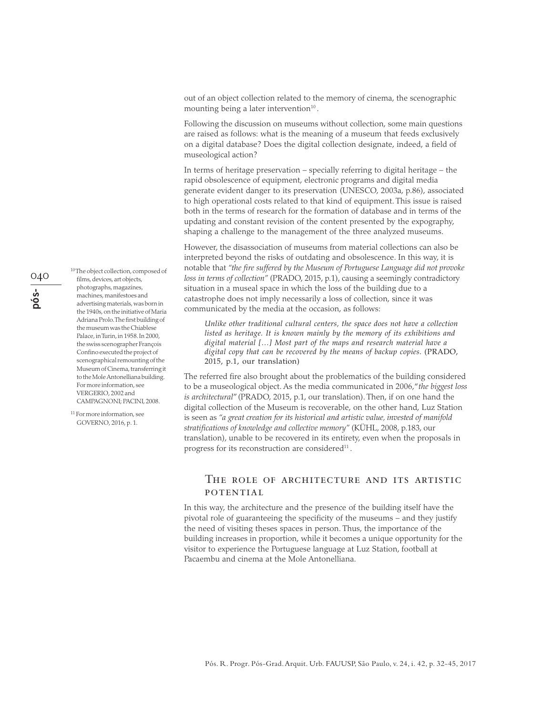out of an object collection related to the memory of cinema, the scenographic mounting being a later intervention $10$ .

Following the discussion on museums without collection, some main questions are raised as follows: what is the meaning of a museum that feeds exclusively on a digital database? Does the digital collection designate, indeed, a field of museological action?

In terms of heritage preservation – specially referring to digital heritage – the rapid obsolescence of equipment, electronic programs and digital media generate evident danger to its preservation (UNESCO, 2003a, p.86), associated to high operational costs related to that kind of equipment. This issue is raised both in the terms of research for the formation of database and in terms of the updating and constant revision of the content presented by the expography, shaping a challenge to the management of the three analyzed museums.

However, the disassociation of museums from material collections can also be interpreted beyond the risks of outdating and obsolescence. In this way, it is notable that *"the fire suffered by the Museum of Portuguese Language did not provoke loss in terms of collection"* (PRADO, 2015, p.1), causing a seemingly contradictory situation in a museal space in which the loss of the building due to a catastrophe does not imply necessarily a loss of collection, since it was communicated by the media at the occasion, as follows:

*Unlike other traditional cultural centers, the space does not have a collection listed as heritage. It is known mainly by the memory of its exhibitions and digital material […] Most part of the maps and research material have a digital copy that can be recovered by the means of backup copies.* (PRADO, 2015, p.1, our translation)

The referred fire also brought about the problematics of the building considered to be a museological object. As the media communicated in 2006, "*the biggest loss is architectural*" (PRADO, 2015, p.1, our translation). Then, if on one hand the digital collection of the Museum is recoverable, on the other hand, Luz Station is seen as *"a great creation for its historical and artistic value, invested of manifold stratifications of knowledge and collective memory"* (KÜHL, 2008, p.183, our translation), unable to be recovered in its entirety, even when the proposals in progress for its reconstruction are considered $11$ .

# THE ROLE OF ARCHITECTURE AND ITS ARTISTIC **POTENTIAL**

In this way, the architecture and the presence of the building itself have the pivotal role of guaranteeing the specificity of the museums – and they justify the need of visiting theses spaces in person. Thus, the importance of the building increases in proportion, while it becomes a unique opportunity for the visitor to experience the Portuguese language at Luz Station, football at Pacaembu and cinema at the Mole Antonelliana.

040**pós-**

films, devices, art objects, photographs, magazines, machines, manifestoes and advertising materials, was born in the 1940s, on the initiative of Maria Adriana Prolo. The first building of the museum was the Chiablese Palace, in Turin, in 1958. In 2000, the swiss scenographer François Confino executed the project of scenographical remounting of the Museum of Cinema, transferring it to the Mole Antonelliana building. For more information, see VERGERIO, 2002 and CAMPAGNONI; PACINI, 2008.

10 The object collection, composed of

11 For more information, see GOVERNO, 2016, p. 1.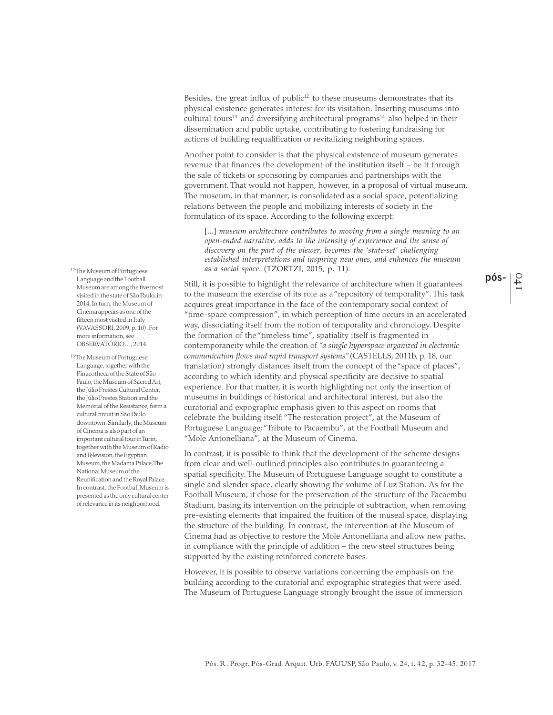Besides, the great influx of public $12$  to these museums demonstrates that its physical existence generates interest for its visitation. Inserting museums into cultural tours<sup>13</sup> and diversifying architectural programs<sup>14</sup> also helped in their dissemination and public uptake, contributing to fostering fundraising for actions of building requalification or revitalizing neighboring spaces.

Another point to consider is that the physical existence of museum generates revenue that finances the development of the institution itself – be it through the sale of tickets or sponsoring by companies and partnerships with the government. That would not happen, however, in a proposal of virtual museum. The museum, in that manner, is consolidated as a social space, potentializing relations between the people and mobilizing interests of society in the formulation of its space. According to the following excerpt:

[...] *museum architecture contributes to moving from a single meaning to an open-ended narrative, adds to the intensity of experience and the sense of discovery on the part of the viewer, becomes the 'state-set' challenging established interpretations and inspiring new ones, and enhances the museum as a social space.* (TZORTZI, 2015, p. 11).

Still, it is possible to highlight the relevance of architecture when it guarantees to the museum the exercise of its role as a "repository of temporality". This task acquires great importance in the face of the contemporary social context of "time-space compression", in which perception of time occurs in an accelerated way, dissociating itself from the notion of temporality and chronology. Despite the formation of the "timeless time", spatiality itself is fragmented in contemporaneity while the creation of *"a single hyperspace organized in electronic communication flows and rapid transport systems"* (CASTELLS, 2011b, p. 18, our translation) strongly distances itself from the concept of the "space of places", according to which identity and physical specificity are decisive to spatial experience. For that matter, it is worth highlighting not only the insertion of museums in buildings of historical and architectural interest, but also the curatorial and expographic emphasis given to this aspect on rooms that celebrate the building itself: "The restoration project", at the Museum of Portuguese Language; "Tribute to Pacaembu", at the Football Museum and "Mole Antonelliana", at the Museum of Cinema.

In contrast, it is possible to think that the development of the scheme designs from clear and well-outlined principles also contributes to guaranteeing a spatial specificity. The Museum of Portuguese Language sought to constitute a single and slender space, clearly showing the volume of Luz Station. As for the Football Museum, it chose for the preservation of the structure of the Pacaembu Stadium, basing its intervention on the principle of subtraction, when removing pre-existing elements that impaired the fruition of the museal space, displaying the structure of the building. In contrast, the intervention at the Museum of Cinema had as objective to restore the Mole Antonelliana and allow new paths, in compliance with the principle of addition – the new steel structures being supported by the existing reinforced concrete bases.

However, it is possible to observe variations concerning the emphasis on the building according to the curatorial and expographic strategies that were used. The Museum of Portuguese Language strongly brought the issue of immersion

12 The Museum of Portuguese Language and the Football Museum are among the five most visited in the state of São Paulo, in 2014. In turn, the Museum of Cinema appears as one of the fifteen most visited in Italy (VAVASSORI, 2009, p. 10). For more information, see OBSERVATÓRIO…, 2014.

13 The Museum of Portuguese Language, together with the Pinacotheca of the State of São Paulo, the Museum of Sacred Art, the Júlio Prestes Cultural Center, the Júlio Prestes Station and the Memorial of the Resistance, form a cultural circuit in São Paulo downtown. Similarly, the Museum of Cinema is also part of an important cultural tour in Turin, together with the Museum of Radio and Television, the Egyptian Museum, the Madama Palace, The National Museum of the Reunification and the Royal Palace. In contrast, the Football Museum is presented as the only cultural center of relevance in its neighborhood.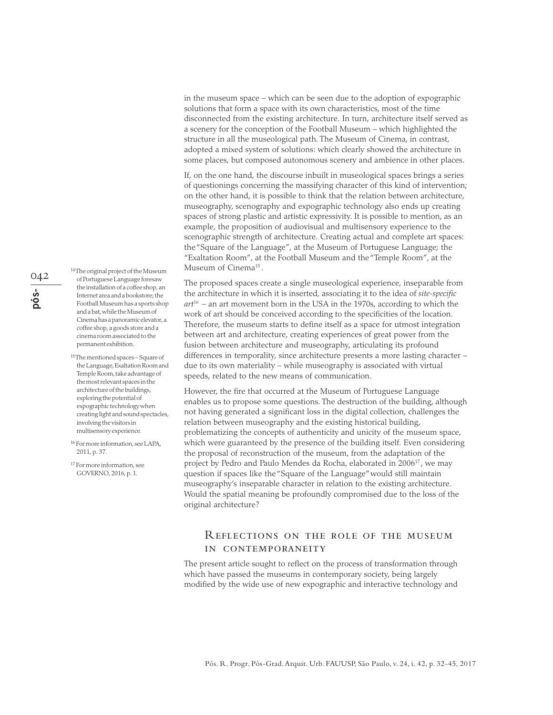in the museum space – which can be seen due to the adoption of expographic solutions that form a space with its own characteristics, most of the time disconnected from the existing architecture. In turn, architecture itself served as a scenery for the conception of the Football Museum – which highlighted the structure in all the museological path. The Museum of Cinema, in contrast, adopted a mixed system of solutions: which clearly showed the architecture in some places, but composed autonomous scenery and ambience in other places.

If, on the one hand, the discourse inbuilt in museological spaces brings a series of questionings concerning the massifying character of this kind of intervention; on the other hand, it is possible to think that the relation between architecture, museography, scenography and expographic technology also ends up creating spaces of strong plastic and artistic expressivity. It is possible to mention, as an example, the proposition of audiovisual and multisensory experience to the scenographic strength of architecture. Creating actual and complete art spaces: the "Square of the Language", at the Museum of Portuguese Language; the "Exaltation Room", at the Football Museum and the "Temple Room", at the Museum of Cinema<sup>15</sup>.

The proposed spaces create a single museological experience, inseparable from the architecture in which it is inserted, associating it to the idea of *site-specific art*16 – an art movement born in the USA in the 1970s, according to which the work of art should be conceived according to the specificities of the location. Therefore, the museum starts to define itself as a space for utmost integration between art and architecture, creating experiences of great power from the fusion between architecture and museography, articulating its profound differences in temporality, since architecture presents a more lasting character – due to its own materiality – while museography is associated with virtual speeds, related to the new means of communication.

However, the fire that occurred at the Museum of Portuguese Language enables us to propose some questions. The destruction of the building, although not having generated a significant loss in the digital collection, challenges the relation between museography and the existing historical building, problematizing the concepts of authenticity and unicity of the museum space, which were guaranteed by the presence of the building itself. Even considering the proposal of reconstruction of the museum, from the adaptation of the project by Pedro and Paulo Mendes da Rocha, elaborated in 2006<sup>17</sup>, we may question if spaces like the "Square of the Language" would still maintain museography's inseparable character in relation to the existing architecture. Would the spatial meaning be profoundly compromised due to the loss of the original architecture?

## Reflections on the role of the museum in contemporaneity

The present article sought to reflect on the process of transformation through which have passed the museums in contemporary society, being largely modified by the wide use of new expographic and interactive technology and

042**pós-** 14 The original project of the Museum of Portuguese Language foresaw the installation of a coffee shop, an Internet area and a bookstore; the Football Museum has a sports shop and a bat, while the Museum of Cinema has a panoramic elevator, a coffee shop, a goods store and a cinema room associated to the permanent exhibition.

15 The mentioned spaces – Square of the Language, Exaltation Room and Temple Room, take advantage of the most relevant spaces in the architecture of the buildings, exploring the potential of expographic technology when creating light and sound spectacles, involving the visitors in multisensory experience.

16 For more information, see LAPA, 2011, p. 37.

17 For more information, see GOVERNO, 2016, p. 1.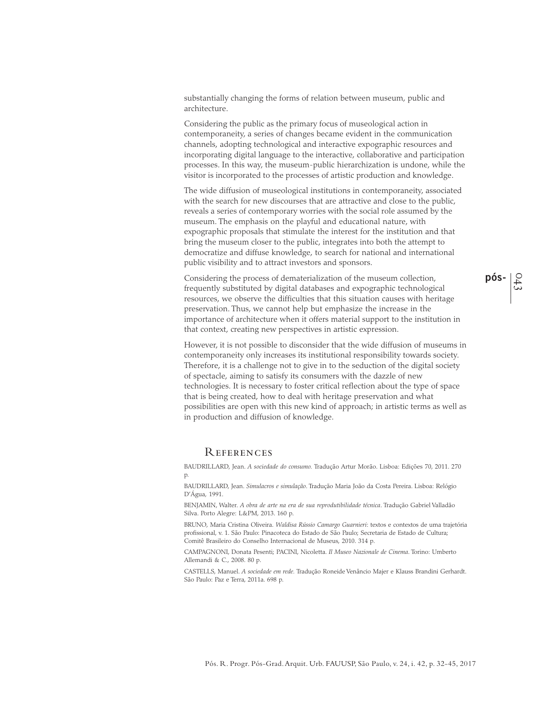substantially changing the forms of relation between museum, public and architecture.

Considering the public as the primary focus of museological action in contemporaneity, a series of changes became evident in the communication channels, adopting technological and interactive expographic resources and incorporating digital language to the interactive, collaborative and participation processes. In this way, the museum-public hierarchization is undone, while the visitor is incorporated to the processes of artistic production and knowledge.

The wide diffusion of museological institutions in contemporaneity, associated with the search for new discourses that are attractive and close to the public, reveals a series of contemporary worries with the social role assumed by the museum. The emphasis on the playful and educational nature, with expographic proposals that stimulate the interest for the institution and that bring the museum closer to the public, integrates into both the attempt to democratize and diffuse knowledge, to search for national and international public visibility and to attract investors and sponsors.

Considering the process of dematerialization of the museum collection, frequently substituted by digital databases and expographic technological resources, we observe the difficulties that this situation causes with heritage preservation. Thus, we cannot help but emphasize the increase in the importance of architecture when it offers material support to the institution in that context, creating new perspectives in artistic expression.

However, it is not possible to disconsider that the wide diffusion of museums in contemporaneity only increases its institutional responsibility towards society. Therefore, it is a challenge not to give in to the seduction of the digital society of spectacle, aiming to satisfy its consumers with the dazzle of new technologies. It is necessary to foster critical reflection about the type of space that is being created, how to deal with heritage preservation and what possibilities are open with this new kind of approach; in artistic terms as well as in production and diffusion of knowledge.

#### **REFERENCES**

BAUDRILLARD, Jean. *A sociedade do consumo.* Tradução Artur Morão. Lisboa: Edições 70, 2011. 270 p.

BAUDRILLARD, Jean. *Simulacros e simulação*. Tradução Maria João da Costa Pereira. Lisboa: Relógio D'Água, 1991.

BENJAMIN, Walter. *A obra de arte na era de sua reprodutibilidade técnica*. Tradução Gabriel Valladão Silva. Porto Alegre: L&PM, 2013. 160 p.

BRUNO, Maria Cristina Oliveira. *Waldisa Rússio Camargo Guarnieri*: textos e contextos de uma trajetória profissional, v. 1. São Paulo: Pinacoteca do Estado de São Paulo; Secretaria de Estado de Cultura; Comitê Brasileiro do Conselho Internacional de Museus, 2010. 314 p.

CAMPAGNONI, Donata Pesenti; PACINI, Nicoletta. *Il Museo Nazionale de Cinema*. Torino: Umberto Allemandi & C., 2008. 80 p.

CASTELLS, Manuel. *A sociedade em rede.* Tradução Roneide Venâncio Majer e Klauss Brandini Gerhardt. São Paulo: Paz e Terra, 2011a. 698 p.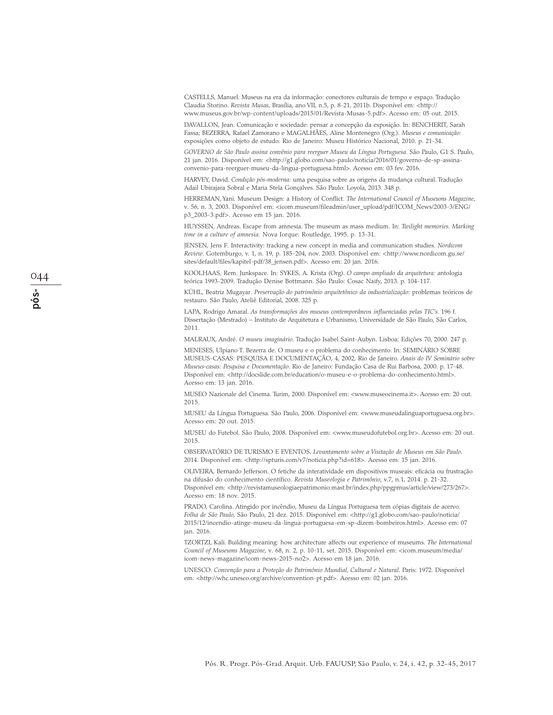CASTELLS, Manuel. Museus na era da informação: conectores culturais de tempo e espaço. Tradução Claudia Storino. *Revista Musas*, Brasília, ano VII, n.5, p. 8-21, 2011b. Disponível em: <http:// www.museus.gov.br/wp-content/uploads/2015/01/Revista-Musas-5.pdf>. Acesso em: 05 out. 2015.

DAVALLON, Jean. Comunicação e sociedade: pensar a concepção da exposição. In: BENCHERIT, Sarah Fassa; BEZERRA, Rafael Zamorano e MAGALHÃES, Aline Montenegro (Org.). *Museus e comunicação:* exposições como objeto de estudo. Rio de Janeiro: Museu Histórico Nacional, 2010. p. 21-34.

*GOVERNO de São Paulo assina convênio para reerguer Museu da Língua Portuguesa.* São Paulo, G1 S. Paulo, 21 jan. 2016. Disponível em: <http://g1.globo.com/sao-paulo/noticia/2016/01/governo-de-sp-assinaconvenio-para-reerguer-museu-da-lingua-portuguesa.html>. Acesso em: 03 fev. 2016.

HARVEY, David. *Condição pós-moderna:* uma pesquisa sobre as origens da mudança cultural. Tradução Adail Ubirajara Sobral e Maria Stela Gonçalves. São Paulo: Loyola, 2013. 348 p.

HERREMAN, Yani. Museum Design: a History of Conflict. *The International Council of Museums Magazine*, v. 56, n. 3, 2003. Disponível em: <icom.museum/fileadmin/user\_upload/pdf/ICOM\_News/2003-3/ENG/ p3\_2003-3.pdf>. Acesso em 15 jan. 2016.

HUYSSEN, Andreas. Escape from amnesia. The museum as mass medium. In: *Twilight memories. Marking time in a culture of amnesia.* Nova Iorque: Routledge, 1995. p. 13-31.

JENSEN, Jens F. Interactivity: tracking a new concept in media and communication studies. *Nordicom Review*. Gotemburgo, v. 1, n. 19, p. 185-204, nov. 2003. Disponível em: <http://www.nordicom.gu.se/ sites/default/files/kapitel-pdf/38\_jensen.pdf>. Acesso em: 20 jan. 2016.

KOOLHAAS, Rem. Junkspace. In: SYKES, A. Krista (Org). *O campo ampliado da arquitetura:* antologia teórica 1993-2009*.* Tradução Denise Bottmann. São Paulo: Cosac Naify, 2013. p. 104-117.

KÜHL, Beatriz Mugayar. *Preservação do patrimônio arquitetônico da industrialização*: problemas teóricos de restauro. São Paulo, Ateliê Editorial, 2008. 325 p.

LAPA, Rodrigo Amaral. *As transformações dos museus contemporâneos influenciadas pelas TIC's.* 196 f. Dissertação (Mestrado) – Instituto de Arquitetura e Urbanismo, Universidade de São Paulo, São Carlos, 2011.

MALRAUX, André. *O museu imaginário.* Tradução Isabel Saint-Aubyn. Lisboa: Edições 70, 2000. 247 p.

MENESES, Ulpiano T. Bezerra de. O museu e o problema do conhecimento*.* In: SEMINÁRIO SOBRE MUSEUS-CASAS: PESQUISA E DOCUMENTAÇÃO, 4, 2002, Rio de Janeiro. *Anais do IV Seminário sobre Museus-casas: Pesquisa e Documentação*. Rio de Janeiro: Fundação Casa de Rui Barbosa, 2000. p. 17-48. Disponível em: <http://docslide.com.br/education/o-museu-e-o-problema-do-conhecimento.html>. Acesso em: 13 jan. 2016.

MUSEO Nazionale del Cinema. Turim, 2000. Disponível em: <www.museocinema.it>. Acesso em: 20 out. 2015.

MUSEU da Língua Portuguesa. São Paulo, 2006. Disponível em: <www.museudalinguaportuguesa.org.br>. Acesso em: 20 out. 2015.

MUSEU do Futebol. São Paulo, 2008. Disponível em: <www.museudofutebol.org.br>. Acesso em: 20 out. 2015.

OBSERVATÓRIO DE TURISMO E EVENTOS. *Levantamento sobre a Visitação de Museus em São Paulo*. 2014. Disponível em: <http://spturis.com/v7/noticia.php?id=618>. Acesso em: 15 jan. 2016.

OLIVEIRA, Bernardo Jefferson. O fetiche da interatividade em dispositivos museais: eficácia ou frustração na difusão do conhecimento científico. *Revista Museologia e Patrimônio*, v.7, n.1, 2014. p. 21-32. Disponível em: <http://revistamuseologiaepatrimonio.mast.br/index.php/ppgpmus/article/view/273/267>. Acesso em: 18 nov. 2015.

PRADO, Carolina. Atingido por incêndio, Museu da Língua Portuguesa tem cópias digitais de acervo. *Folha de São Paulo*, São Paulo, 21 dez. 2015. Disponível em: <http://g1.globo.com/sao-paulo/noticia/ 2015/12/incendio-atinge-museu-da-lingua-portuguesa-em-sp-dizem-bombeiros.html>. Acesso em: 07 jan. 2016.

TZORTZI, Kali. Building meaning: how architecture affects our experience of museums. *The International Council of Museums Magazine*, v. 68, n. 2, p. 10-11, set. 2015. Disponível em: <icom.museum/media/ icom-news-magazine/icom-news-2015-no2>. Acesso em 18 jan. 2016.

UNESCO. *Convenção para a Proteção do Patrimônio Mundial, Cultural e Natural*. Paris: 1972. Disponível em: <http://whc.unesco.org/archive/convention-pt.pdf>. Acesso em: 02 jan. 2016.